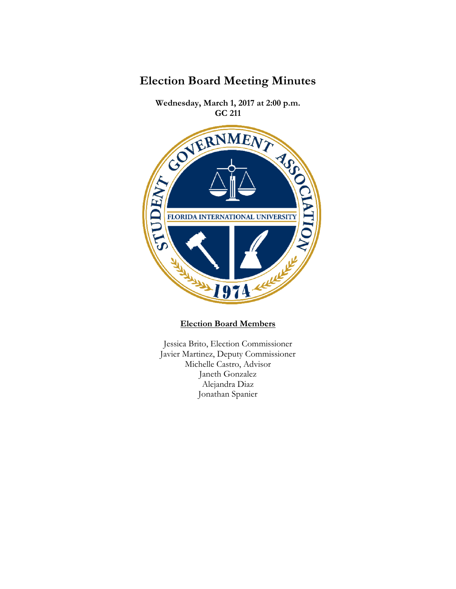

**Wednesday, March 1, 2017 at 2:00 p.m.** 



**Election Board Members**

Jessica Brito, Election Commissioner Javier Martinez, Deputy Commissioner Michelle Castro, Advisor Janeth Gonzalez Alejandra Diaz Jonathan Spanier